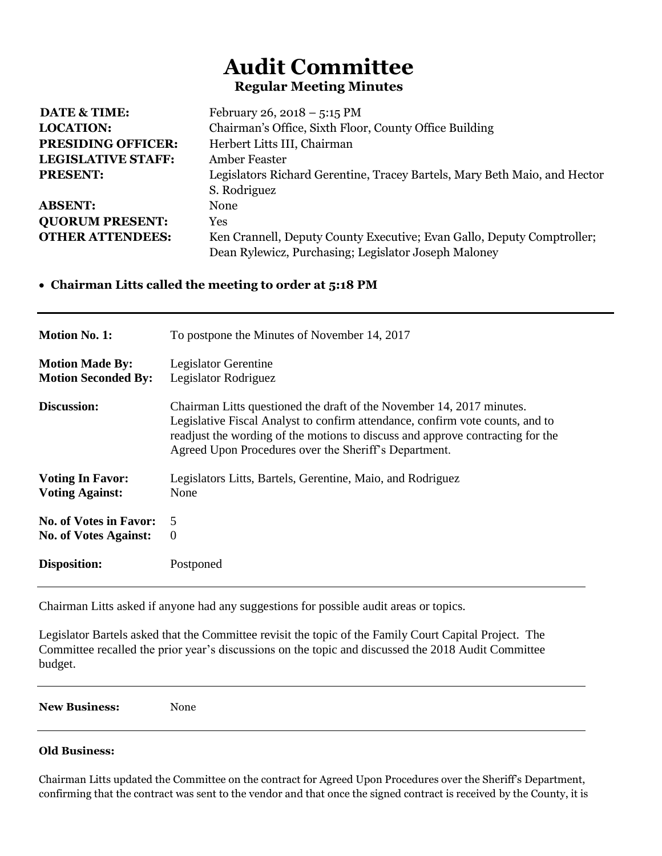## **Audit Committee Regular Meeting Minutes**

| <b>DATE &amp; TIME:</b>   | February 26, 2018 – 5:15 PM                                               |
|---------------------------|---------------------------------------------------------------------------|
| <b>LOCATION:</b>          | Chairman's Office, Sixth Floor, County Office Building                    |
| <b>PRESIDING OFFICER:</b> | Herbert Litts III, Chairman                                               |
| <b>LEGISLATIVE STAFF:</b> | <b>Amber Feaster</b>                                                      |
| <b>PRESENT:</b>           | Legislators Richard Gerentine, Tracey Bartels, Mary Beth Maio, and Hector |
|                           | S. Rodriguez                                                              |
| <b>ABSENT:</b>            | None                                                                      |
| <b>QUORUM PRESENT:</b>    | Yes                                                                       |
| <b>OTHER ATTENDEES:</b>   | Ken Crannell, Deputy County Executive; Evan Gallo, Deputy Comptroller;    |
|                           | Dean Rylewicz, Purchasing; Legislator Joseph Maloney                      |

## **Chairman Litts called the meeting to order at 5:18 PM**

| <b>Motion No. 1:</b>          | To postpone the Minutes of November 14, 2017                                                                                                                                                                                                                                                      |
|-------------------------------|---------------------------------------------------------------------------------------------------------------------------------------------------------------------------------------------------------------------------------------------------------------------------------------------------|
| <b>Motion Made By:</b>        | Legislator Gerentine                                                                                                                                                                                                                                                                              |
| <b>Motion Seconded By:</b>    | Legislator Rodriguez                                                                                                                                                                                                                                                                              |
| Discussion:                   | Chairman Litts questioned the draft of the November 14, 2017 minutes.<br>Legislative Fiscal Analyst to confirm attendance, confirm vote counts, and to<br>readjust the wording of the motions to discuss and approve contracting for the<br>Agreed Upon Procedures over the Sheriff's Department. |
| <b>Voting In Favor:</b>       | Legislators Litts, Bartels, Gerentine, Maio, and Rodriguez                                                                                                                                                                                                                                        |
| <b>Voting Against:</b>        | None                                                                                                                                                                                                                                                                                              |
| <b>No. of Votes in Favor:</b> | 5                                                                                                                                                                                                                                                                                                 |
| <b>No. of Votes Against:</b>  | $\theta$                                                                                                                                                                                                                                                                                          |
| <b>Disposition:</b>           | Postponed                                                                                                                                                                                                                                                                                         |

Chairman Litts asked if anyone had any suggestions for possible audit areas or topics.

Legislator Bartels asked that the Committee revisit the topic of the Family Court Capital Project. The Committee recalled the prior year's discussions on the topic and discussed the 2018 Audit Committee budget.

**New Business:** None

## **Old Business:**

Chairman Litts updated the Committee on the contract for Agreed Upon Procedures over the Sheriff's Department, confirming that the contract was sent to the vendor and that once the signed contract is received by the County, it is